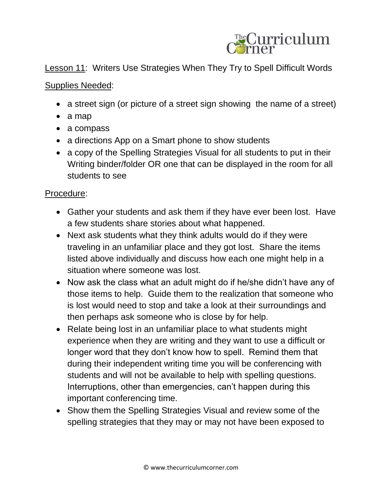

## Lesson 11: Writers Use Strategies When They Try to Spell Difficult Words

## Supplies Needed:

- a street sign (or picture of a street sign showing the name of a street)
- a map
- a compass
- a directions App on a Smart phone to show students
- a copy of the Spelling Strategies Visual for all students to put in their Writing binder/folder OR one that can be displayed in the room for all students to see

## Procedure:

- Gather your students and ask them if they have ever been lost. Have a few students share stories about what happened.
- Next ask students what they think adults would do if they were traveling in an unfamiliar place and they got lost. Share the items listed above individually and discuss how each one might help in a situation where someone was lost.
- Now ask the class what an adult might do if he/she didn't have any of those items to help. Guide them to the realization that someone who is lost would need to stop and take a look at their surroundings and then perhaps ask someone who is close by for help.
- Relate being lost in an unfamiliar place to what students might experience when they are writing and they want to use a difficult or longer word that they don't know how to spell. Remind them that during their independent writing time you will be conferencing with students and will not be available to help with spelling questions. Interruptions, other than emergencies, can't happen during this important conferencing time.
- Show them the Spelling Strategies Visual and review some of the spelling strategies that they may or may not have been exposed to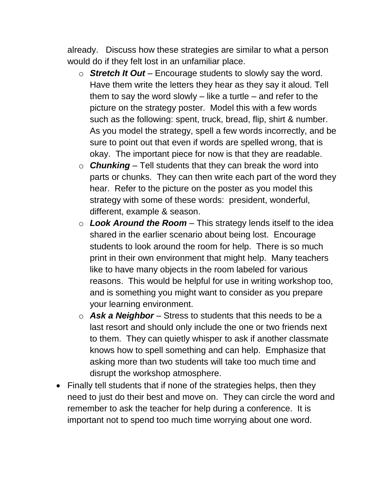already. Discuss how these strategies are similar to what a person would do if they felt lost in an unfamiliar place.

- o *Stretch It Out* Encourage students to slowly say the word. Have them write the letters they hear as they say it aloud. Tell them to say the word slowly  $-$  like a turtle  $-$  and refer to the picture on the strategy poster. Model this with a few words such as the following: spent, truck, bread, flip, shirt & number. As you model the strategy, spell a few words incorrectly, and be sure to point out that even if words are spelled wrong, that is okay. The important piece for now is that they are readable.
- o *Chunking* Tell students that they can break the word into parts or chunks. They can then write each part of the word they hear. Refer to the picture on the poster as you model this strategy with some of these words: president, wonderful, different, example & season.
- o *Look Around the Room* This strategy lends itself to the idea shared in the earlier scenario about being lost. Encourage students to look around the room for help. There is so much print in their own environment that might help. Many teachers like to have many objects in the room labeled for various reasons. This would be helpful for use in writing workshop too, and is something you might want to consider as you prepare your learning environment.
- o *Ask a Neighbor* Stress to students that this needs to be a last resort and should only include the one or two friends next to them. They can quietly whisper to ask if another classmate knows how to spell something and can help. Emphasize that asking more than two students will take too much time and disrupt the workshop atmosphere.
- Finally tell students that if none of the strategies helps, then they need to just do their best and move on. They can circle the word and remember to ask the teacher for help during a conference. It is important not to spend too much time worrying about one word.